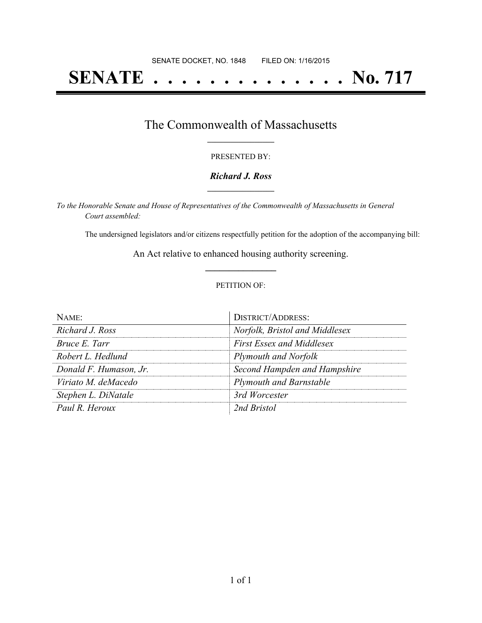# **SENATE . . . . . . . . . . . . . . No. 717**

### The Commonwealth of Massachusetts **\_\_\_\_\_\_\_\_\_\_\_\_\_\_\_\_\_**

#### PRESENTED BY:

#### *Richard J. Ross* **\_\_\_\_\_\_\_\_\_\_\_\_\_\_\_\_\_**

*To the Honorable Senate and House of Representatives of the Commonwealth of Massachusetts in General Court assembled:*

The undersigned legislators and/or citizens respectfully petition for the adoption of the accompanying bill:

An Act relative to enhanced housing authority screening. **\_\_\_\_\_\_\_\_\_\_\_\_\_\_\_**

#### PETITION OF:

| NAME                   | <b>DISTRICT/ADDRESS:</b>         |
|------------------------|----------------------------------|
| Richard J. Ross        | Norfolk, Bristol and Middlesex   |
| <i>Bruce E. Tarr</i>   | <b>First Essex and Middlesex</b> |
| Robert L. Hedlund      | <b>Plymouth and Norfolk</b>      |
| Donald F. Humason, Jr. | Second Hampden and Hampshire     |
| Viriato M. deMacedo    | <b>Plymouth and Barnstable</b>   |
| Stephen L. DiNatale    | 3rd Worcester                    |
| Paul R. Heroux         | 2nd Bristol                      |